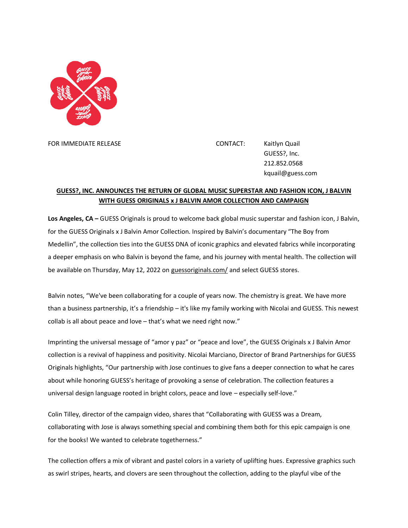

FOR IMMEDIATE RELEASE CONTACT: Kaitlyn Quail GUESS?, Inc. 212.852.0568 kquail@guess.com

## **GUESS?, INC. ANNOUNCES THE RETURN OF GLOBAL MUSIC SUPERSTAR AND FASHION ICON, J BALVIN WITH GUESS ORIGINALS x J BALVIN AMOR COLLECTION AND CAMPAIGN**

**Los Angeles, CA –** GUESS Originals is proud to welcome back global music superstar and fashion icon, J Balvin, for the GUESS Originals x J Balvin Amor Collection. Inspired by Balvin's documentary "The Boy from Medellin", the collection ties into the GUESS DNA of iconic graphics and elevated fabrics while incorporating a deeper emphasis on who Balvin is beyond the fame, and his journey with mental health. The collection will be available on Thursday, May 12, 2022 on [guessoriginals.com/](https://www.guess.com/us/en/originals/originals/capsules/view-all-programs) and select GUESS stores.

Balvin notes, "We've been collaborating for a couple of years now. The chemistry is great. We have more than a business partnership, it's a friendship – it's like my family working with Nicolai and GUESS. This newest collab is all about peace and love – that's what we need right now."

Imprinting the universal message of "amor y paz" or "peace and love", the GUESS Originals x J Balvin Amor collection is a revival of happiness and positivity. Nicolai Marciano, Director of Brand Partnerships for GUESS Originals highlights, "Our partnership with Jose continues to give fans a deeper connection to what he cares about while honoring GUESS's heritage of provoking a sense of celebration. The collection features a universal design language rooted in bright colors, peace and love – especially self-love."

Colin Tilley, director of the campaign video, shares that "Collaborating with GUESS was a Dream, collaborating with Jose is always something special and combining them both for this epic campaign is one for the books! We wanted to celebrate togetherness."

The collection offers a mix of vibrant and pastel colors in a variety of uplifting hues. Expressive graphics such as swirl stripes, hearts, and clovers are seen throughout the collection, adding to the playful vibe of the